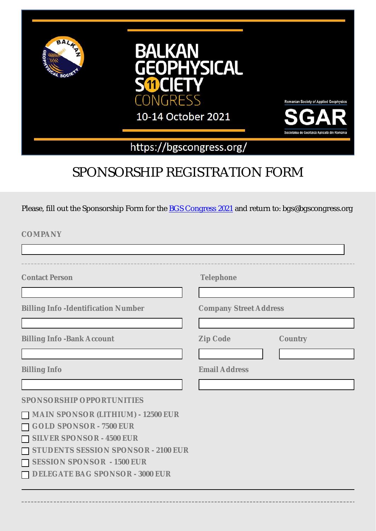

# SPONSORSHIP REGISTRATION FORM

Please, fill out the Sponsorship Form for the **[BGS Congress 2021](https://bgscongress.org/)** and return to: bgs@bgscongress.org

**COMPANY** 

| <b>Contact Person</b>                      | <b>Telephone</b>              |                |
|--------------------------------------------|-------------------------------|----------------|
|                                            |                               |                |
| <b>Billing Info -Identification Number</b> | <b>Company Street Address</b> |                |
|                                            |                               |                |
| <b>Billing Info -Bank Account</b>          | <b>Zip Code</b>               | <b>Country</b> |
|                                            |                               |                |
| <b>Billing Info</b>                        | <b>Email Address</b>          |                |
|                                            |                               |                |
| <b>SPONSORSHIP OPPORTUNITIES</b>           |                               |                |
| MAIN SPONSOR (LITHIUM) - 12500 EUR         |                               |                |
| <b>GOLD SPONSOR - 7500 EUR</b>             |                               |                |
| <b>SILVER SPONSOR - 4500 EUR</b>           |                               |                |
| STUDENTS SESSION SPONSOR - 2100 EUR        |                               |                |
| <b>SESSION SPONSOR - 1500 EUR</b>          |                               |                |
| <b>DELEGATE BAG SPONSOR - 3000 EUR</b>     |                               |                |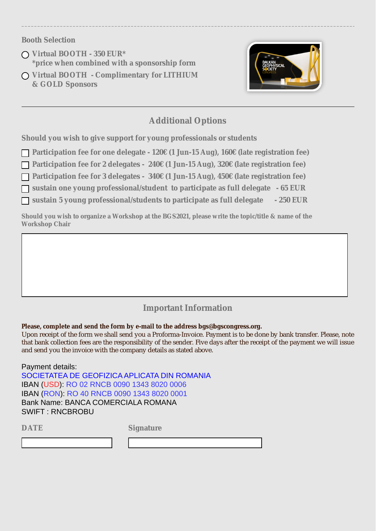### **Booth Selection**

- **Virtual BOOTH 350 EUR\* \*price when combined with a sponsorship form**
- **Virtual BOOTH Complimentary for LITHIUM & GOLD Sponsors**



## **Additional Options**

**Should you wish to give support for young professionals or students** 

**Participation fee for one delegate - 120€ (1 Jun-15 Aug), 160€ (late registration fee)**

**Participation fee for 2 delegates - 240€ (1 Jun-15 Aug), 320€ (late registration fee)**

**Participation fee for 3 delegates - 340€ (1 Jun-15 Aug), 450€ (late registration fee)**

**sustain one young professional/student to participate as full delegate - 65 EUR**

**sustain 5 young professional/students to participate as full delegate - 250 EUR**

**Should you wish to organize a Workshop at the BGS2021, please write the topic/title & name of the Workshop Chair**

## **Important Information**

#### **Please, complete and send the form by e-mail to the address bgs@bgscongress.org.**

Upon receipt of the form we shall send you a Proforma-Invoice. Payment is to be done by bank transfer. Please, note that bank collection fees are the responsibility of the sender. Five days after the receipt of the payment we will issue and send you the invoice with the company details as stated above.

Payment details: SOCIETATEA DE GEOFIZICA APLICATA DIN ROMANIA IBAN (USD): RO 02 RNCB 0090 1343 8020 0006 IBAN (RON): RO 40 RNCB 0090 1343 8020 0001 Bank Name: BANCA COMERCIALA ROMANA SWIFT : RNCBROBU

**DATE Signature**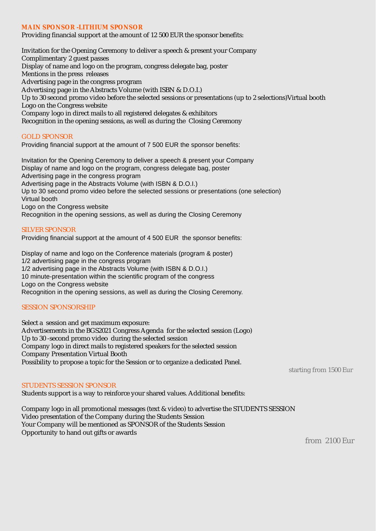#### **MAIN SPONSOR -LITHIUM SPONSOR**

Providing financial support at the amount of 12 500 EUR the sponsor benefits:

Invitation for the Opening Ceremony to deliver a speech & present your Company Complimentary 2 guest passes Display of name and logo on the program, congress delegate bag, poster Mentions in the press releases Advertising page in the congress program Advertising page in the Abstracts Volume (with ISBN & D.O.I.) Up to 30 second promo video before the selected sessions or presentations (up to 2 selections)Virtual booth Logo on the Congress website Company logo in direct mails to all registered delegates & exhibitors Recognition in the opening sessions, as well as during the Closing Ceremony

#### GOLD SPONSOR

Providing financial support at the amount of 7 500 EUR the sponsor benefits:

Invitation for the Opening Ceremony to deliver a speech & present your Company Display of name and logo on the program, congress delegate bag, poster Advertising page in the congress program Advertising page in the Abstracts Volume (with ISBN & D.O.I.) Up to 30 second promo video before the selected sessions or presentations (one selection) Virtual booth Logo on the Congress website

Recognition in the opening sessions, as well as during the Closing Ceremony

#### SILVER SPONSOR

Providing financial support at the amount of 4 500 EUR the sponsor benefits:

Display of name and logo on the Conference materials (program & poster) 1/2 advertising page in the congress program 1/2 advertising page in the Abstracts Volume (with ISBN & D.O.I.) 10 minute-presentation within the scientific program of the congress Logo on the Congress website Recognition in the opening sessions, as well as during the Closing Ceremony.

#### SESSION SPONSORSHIP

Select a session and get maximum exposure: Advertisements in the BGS2021 Congress Agenda for the selected session (Logo) Up to 30 -second promo video during the selected session Company logo in direct mails to registered speakers for the selected session Company Presentation Virtual Booth Possibility to propose a topic for the Session or to organize a dedicated Panel.

#### STUDENTS SESSION SPONSOR

Students support is a way to reinforce your shared values. Additional benefits:

Company logo in all promotional messages (text & video) to advertise the STUDENTS SESSION Video presentation of the Company during the Students Session Your Company will be mentioned as SPONSOR of the Students Session Opportunity to hand out gifts or awards

from 2100 Eur

starting from 1500 Eur